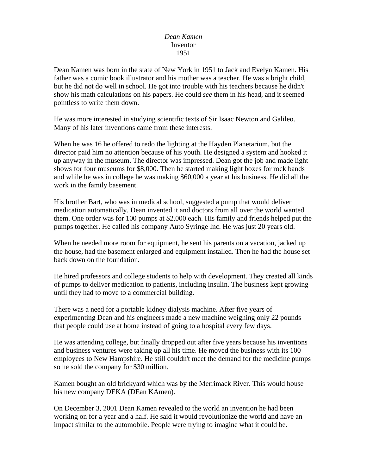## *Dean Kamen* Inventor 1951

Dean Kamen was born in the state of New York in 1951 to Jack and Evelyn Kamen. His father was a comic book illustrator and his mother was a teacher. He was a bright child, but he did not do well in school. He got into trouble with his teachers because he didn't show his math calculations on his papers. He could *see* them in his head, and it seemed pointless to write them down.

He was more interested in studying scientific texts of Sir Isaac Newton and Galileo. Many of his later inventions came from these interests.

When he was 16 he offered to redo the lighting at the Hayden Planetarium, but the director paid him no attention because of his youth. He designed a system and hooked it up anyway in the museum. The director was impressed. Dean got the job and made light shows for four museums for \$8,000. Then he started making light boxes for rock bands and while he was in college he was making \$60,000 a year at his business. He did all the work in the family basement.

His brother Bart, who was in medical school, suggested a pump that would deliver medication automatically. Dean invented it and doctors from all over the world wanted them. One order was for 100 pumps at \$2,000 each. His family and friends helped put the pumps together. He called his company Auto Syringe Inc. He was just 20 years old.

When he needed more room for equipment, he sent his parents on a vacation, jacked up the house, had the basement enlarged and equipment installed. Then he had the house set back down on the foundation.

He hired professors and college students to help with development. They created all kinds of pumps to deliver medication to patients, including insulin. The business kept growing until they had to move to a commercial building.

There was a need for a portable kidney dialysis machine. After five years of experimenting Dean and his engineers made a new machine weighing only 22 pounds that people could use at home instead of going to a hospital every few days.

He was attending college, but finally dropped out after five years because his inventions and business ventures were taking up all his time. He moved the business with its 100 employees to New Hampshire. He still couldn't meet the demand for the medicine pumps so he sold the company for \$30 million.

Kamen bought an old brickyard which was by the Merrimack River. This would house his new company DEKA (DEan KAmen).

On December 3, 2001 Dean Kamen revealed to the world an invention he had been working on for a year and a half. He said it would revolutionize the world and have an impact similar to the automobile. People were trying to imagine what it could be.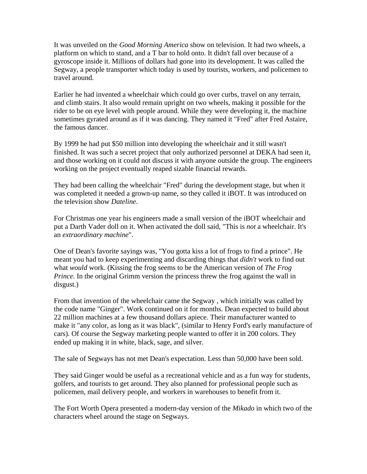It was unveiled on the *Good Morning America* show on television. It had two wheels, a platform on which to stand, and a T bar to hold onto. It didn't fall over because of a gyroscope inside it. Millions of dollars had gone into its development. It was called the Segway, a people transporter which today is used by tourists, workers, and policemen to travel around.

Earlier he had invented a wheelchair which could go over curbs, travel on any terrain, and climb stairs. It also would remain upright on two wheels, making it possible for the rider to be on eye level with people around. While they were developing it, the machine sometimes gyrated around as if it was dancing. They named it "Fred" after Fred Astaire, the famous dancer.

By 1999 he had put \$50 million into developing the wheelchair and it still wasn't finished. It was such a secret project that only authorized personnel at DEKA had seen it, and those working on it could not discuss it with anyone outside the group. The engineers working on the project eventually reaped sizable financial rewards.

They had been calling the wheelchair "Fred" during the development stage, but when it was completed it needed a grown-up name, so they called it iBOT. It was introduced on the television show *Dateline*.

For Christmas one year his engineers made a small version of the iBOT wheelchair and put a Darth Vader doll on it. When activated the doll said, "This is *not* a wheelchair. It's an *extraordinary machine*".

One of Dean's favorite sayings was, "You gotta kiss a lot of frogs to find a prince". He meant you had to keep experimenting and discarding things that *didn't* work to find out what *would* work. (Kissing the frog seems to be the American version of *The Frog Prince*. In the original Grimm version the princess threw the frog against the wall in disgust.)

From that invention of the wheelchair came the Segway , which initially was called by the code name "Ginger". Work continued on it for months. Dean expected to build about 22 million machines at a few thousand dollars apiece. Their manufacturer wanted to make it "any color, as long as it was black", (similar to Henry Ford's early manufacture of cars). Of course the Segway marketing people wanted to offer it in 200 colors. They ended up making it in white, black, sage, and silver.

The sale of Segways has not met Dean's expectation. Less than 50,000 have been sold.

They said Ginger would be useful as a recreational vehicle and as a fun way for students, golfers, and tourists to get around. They also planned for professional people such as policemen, mail delivery people, and workers in warehouses to benefit from it.

The Fort Worth Opera presented a modern-day version of the *Mikado* in which two of the characters wheel around the stage on Segways.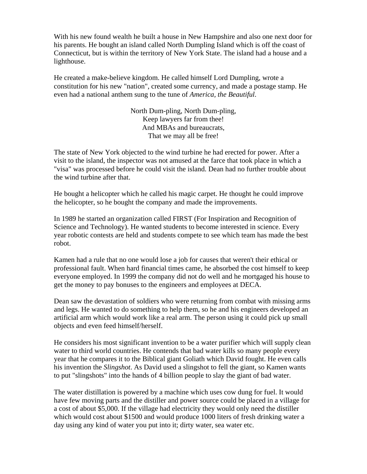With his new found wealth he built a house in New Hampshire and also one next door for his parents. He bought an island called North Dumpling Island which is off the coast of Connecticut, but is within the territory of New York State. The island had a house and a lighthouse.

He created a make-believe kingdom. He called himself Lord Dumpling, wrote a constitution for his new "nation", created some currency, and made a postage stamp. He even had a national anthem sung to the tune of *America, the Beautiful*.

> North Dum-pling, North Dum-pling, Keep lawyers far from thee! And MBAs and bureaucrats, That we may all be free!

The state of New York objected to the wind turbine he had erected for power. After a visit to the island, the inspector was not amused at the farce that took place in which a "visa" was processed before he could visit the island. Dean had no further trouble about the wind turbine after that.

He bought a helicopter which he called his magic carpet. He thought he could improve the helicopter, so he bought the company and made the improvements.

In 1989 he started an organization called FIRST (For Inspiration and Recognition of Science and Technology). He wanted students to become interested in science. Every year robotic contests are held and students compete to see which team has made the best robot.

Kamen had a rule that no one would lose a job for causes that weren't their ethical or professional fault. When hard financial times came, he absorbed the cost himself to keep everyone employed. In 1999 the company did not do well and he mortgaged his house to get the money to pay bonuses to the engineers and employees at DECA.

Dean saw the devastation of soldiers who were returning from combat with missing arms and legs. He wanted to do something to help them, so he and his engineers developed an artificial arm which would work like a real arm. The person using it could pick up small objects and even feed himself/herself.

He considers his most significant invention to be a water purifier which will supply clean water to third world countries. He contends that bad water kills so many people every year that he compares it to the Biblical giant Goliath which David fought. He even calls his invention the *Slingshot*. As David used a slingshot to fell the giant, so Kamen wants to put "slingshots" into the hands of 4 billion people to slay the giant of bad water.

The water distillation is powered by a machine which uses cow dung for fuel. It would have few moving parts and the distiller and power source could be placed in a village for a cost of about \$5,000. If the village had electricity they would only need the distiller which would cost about \$1500 and would produce 1000 liters of fresh drinking water a day using any kind of water you put into it; dirty water, sea water etc.